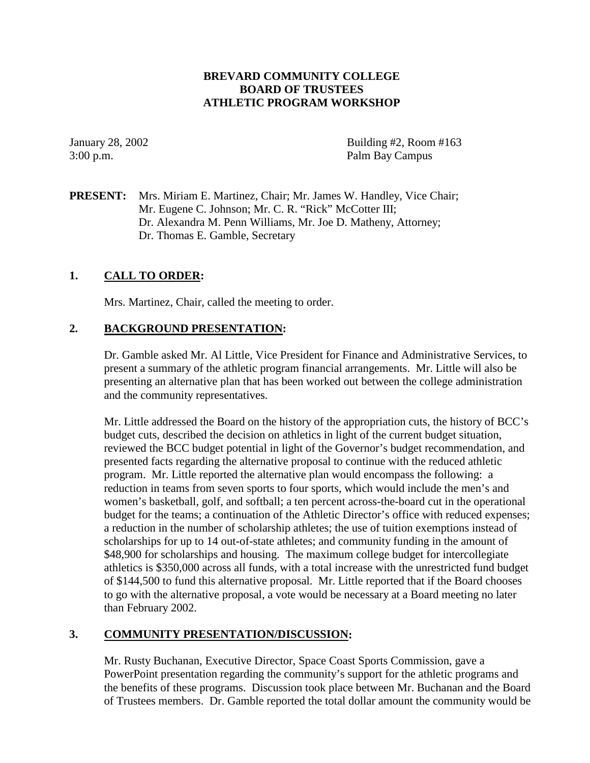# **BREVARD COMMUNITY COLLEGE BOARD OF TRUSTEES ATHLETIC PROGRAM WORKSHOP**

January 28, 2002 Building #2, Room #163 3:00 p.m. Palm Bay Campus

**PRESENT:** Mrs. Miriam E. Martinez, Chair; Mr. James W. Handley, Vice Chair; Mr. Eugene C. Johnson; Mr. C. R. "Rick" McCotter III; Dr. Alexandra M. Penn Williams, Mr. Joe D. Matheny, Attorney; Dr. Thomas E. Gamble, Secretary

# **1. CALL TO ORDER:**

Mrs. Martinez, Chair, called the meeting to order.

### **2. BACKGROUND PRESENTATION:**

Dr. Gamble asked Mr. Al Little, Vice President for Finance and Administrative Services, to present a summary of the athletic program financial arrangements. Mr. Little will also be presenting an alternative plan that has been worked out between the college administration and the community representatives.

Mr. Little addressed the Board on the history of the appropriation cuts, the history of BCC's budget cuts, described the decision on athletics in light of the current budget situation, reviewed the BCC budget potential in light of the Governor's budget recommendation, and presented facts regarding the alternative proposal to continue with the reduced athletic program. Mr. Little reported the alternative plan would encompass the following: a reduction in teams from seven sports to four sports, which would include the men's and women's basketball, golf, and softball; a ten percent across-the-board cut in the operational budget for the teams; a continuation of the Athletic Director's office with reduced expenses; a reduction in the number of scholarship athletes; the use of tuition exemptions instead of scholarships for up to 14 out-of-state athletes; and community funding in the amount of \$48,900 for scholarships and housing. The maximum college budget for intercollegiate athletics is \$350,000 across all funds, with a total increase with the unrestricted fund budget of \$144,500 to fund this alternative proposal. Mr. Little reported that if the Board chooses to go with the alternative proposal, a vote would be necessary at a Board meeting no later than February 2002.

#### **3. COMMUNITY PRESENTATION/DISCUSSION:**

Mr. Rusty Buchanan, Executive Director, Space Coast Sports Commission, gave a PowerPoint presentation regarding the community's support for the athletic programs and the benefits of these programs. Discussion took place between Mr. Buchanan and the Board of Trustees members. Dr. Gamble reported the total dollar amount the community would be